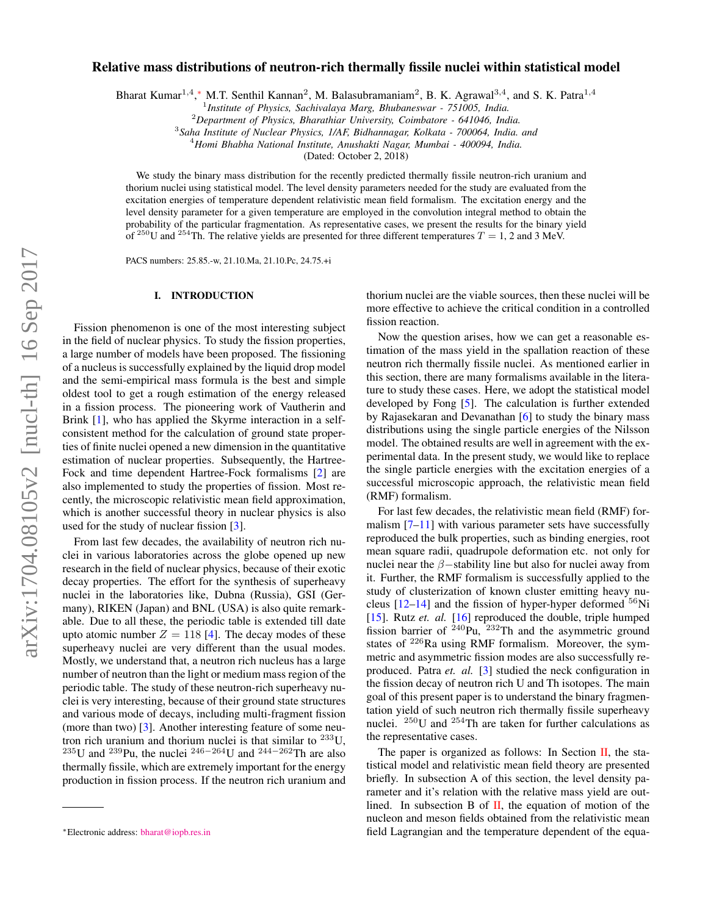# Relative mass distributions of neutron-rich thermally fissile nuclei within statistical model

Bharat Kumar<sup>1,4</sup>,\* M.T. Senthil Kannan<sup>2</sup>, M. Balasubramaniam<sup>2</sup>, B. K. Agrawal<sup>3,4</sup>, and S. K. Patra<sup>1,4</sup>

1 *Institute of Physics, Sachivalaya Marg, Bhubaneswar - 751005, India.*

<sup>2</sup>*Department of Physics, Bharathiar University, Coimbatore - 641046, India.*

3 *Saha Institute of Nuclear Physics, 1/AF, Bidhannagar, Kolkata - 700064, India. and*

<sup>4</sup>*Homi Bhabha National Institute, Anushakti Nagar, Mumbai - 400094, India.*

(Dated: October 2, 2018)

We study the binary mass distribution for the recently predicted thermally fissile neutron-rich uranium and thorium nuclei using statistical model. The level density parameters needed for the study are evaluated from the excitation energies of temperature dependent relativistic mean field formalism. The excitation energy and the level density parameter for a given temperature are employed in the convolution integral method to obtain the probability of the particular fragmentation. As representative cases, we present the results for the binary yield of <sup>250</sup>U and <sup>254</sup>Th. The relative yields are presented for three different temperatures  $T = 1$ , 2 and 3 MeV.

PACS numbers: 25.85.-w, 21.10.Ma, 21.10.Pc, 24.75.+i

#### I. INTRODUCTION

Fission phenomenon is one of the most interesting subject in the field of nuclear physics. To study the fission properties, a large number of models have been proposed. The fissioning of a nucleus is successfully explained by the liquid drop model and the semi-empirical mass formula is the best and simple oldest tool to get a rough estimation of the energy released in a fission process. The pioneering work of Vautherin and Brink [\[1\]](#page-8-0), who has applied the Skyrme interaction in a selfconsistent method for the calculation of ground state properties of finite nuclei opened a new dimension in the quantitative estimation of nuclear properties. Subsequently, the Hartree-Fock and time dependent Hartree-Fock formalisms [\[2\]](#page-8-1) are also implemented to study the properties of fission. Most recently, the microscopic relativistic mean field approximation, which is another successful theory in nuclear physics is also used for the study of nuclear fission [\[3\]](#page-8-2).

From last few decades, the availability of neutron rich nuclei in various laboratories across the globe opened up new research in the field of nuclear physics, because of their exotic decay properties. The effort for the synthesis of superheavy nuclei in the laboratories like, Dubna (Russia), GSI (Germany), RIKEN (Japan) and BNL (USA) is also quite remarkable. Due to all these, the periodic table is extended till date upto atomic number  $Z = 118$  [\[4\]](#page-8-3). The decay modes of these superheavy nuclei are very different than the usual modes. Mostly, we understand that, a neutron rich nucleus has a large number of neutron than the light or medium mass region of the periodic table. The study of these neutron-rich superheavy nuclei is very interesting, because of their ground state structures and various mode of decays, including multi-fragment fission (more than two) [\[3\]](#page-8-2). Another interesting feature of some neutron rich uranium and thorium nuclei is that similar to  $^{233}$ U,  $^{235}$ U and  $^{239}$ Pu, the nuclei  $^{246-264}$ U and  $^{244-262}$ Th are also thermally fissile, which are extremely important for the energy production in fission process. If the neutron rich uranium and

thorium nuclei are the viable sources, then these nuclei will be more effective to achieve the critical condition in a controlled fission reaction.

Now the question arises, how we can get a reasonable estimation of the mass yield in the spallation reaction of these neutron rich thermally fissile nuclei. As mentioned earlier in this section, there are many formalisms available in the literature to study these cases. Here, we adopt the statistical model developed by Fong [\[5\]](#page-8-4). The calculation is further extended by Rajasekaran and Devanathan [\[6\]](#page-9-0) to study the binary mass distributions using the single particle energies of the Nilsson model. The obtained results are well in agreement with the experimental data. In the present study, we would like to replace the single particle energies with the excitation energies of a successful microscopic approach, the relativistic mean field (RMF) formalism.

For last few decades, the relativistic mean field (RMF) for-malism [\[7–](#page-9-1)[11\]](#page-9-2) with various parameter sets have successfully reproduced the bulk properties, such as binding energies, root mean square radii, quadrupole deformation etc. not only for nuclei near the  $\beta$ −stability line but also for nuclei away from it. Further, the RMF formalism is successfully applied to the study of clusterization of known cluster emitting heavy nucleus  $[12-14]$  $[12-14]$  and the fission of hyper-hyper deformed  $56$ Ni [\[15\]](#page-9-5). Rutz *et. al.* [\[16\]](#page-9-6) reproduced the double, triple humped fission barrier of  $240$ Pu,  $232$ Th and the asymmetric ground states of  $226$ Ra using RMF formalism. Moreover, the symmetric and asymmetric fission modes are also successfully reproduced. Patra *et. al.* [\[3\]](#page-8-2) studied the neck configuration in the fission decay of neutron rich U and Th isotopes. The main goal of this present paper is to understand the binary fragmentation yield of such neutron rich thermally fissile superheavy nuclei. <sup>250</sup>U and <sup>254</sup>Th are taken for further calculations as the representative cases.

The paper is organized as follows: In Section [II,](#page-1-0) the statistical model and relativistic mean field theory are presented briefly. In subsection A of this section, the level density parameter and it's relation with the relative mass yield are outlined. In subsection B of  $\mathbf{II}$ , the equation of motion of the nucleon and meson fields obtained from the relativistic mean field Lagrangian and the temperature dependent of the equa-

<span id="page-0-0"></span><sup>∗</sup>Electronic address: [bharat@iopb.res.in](mailto:bharat@iopb.res.in)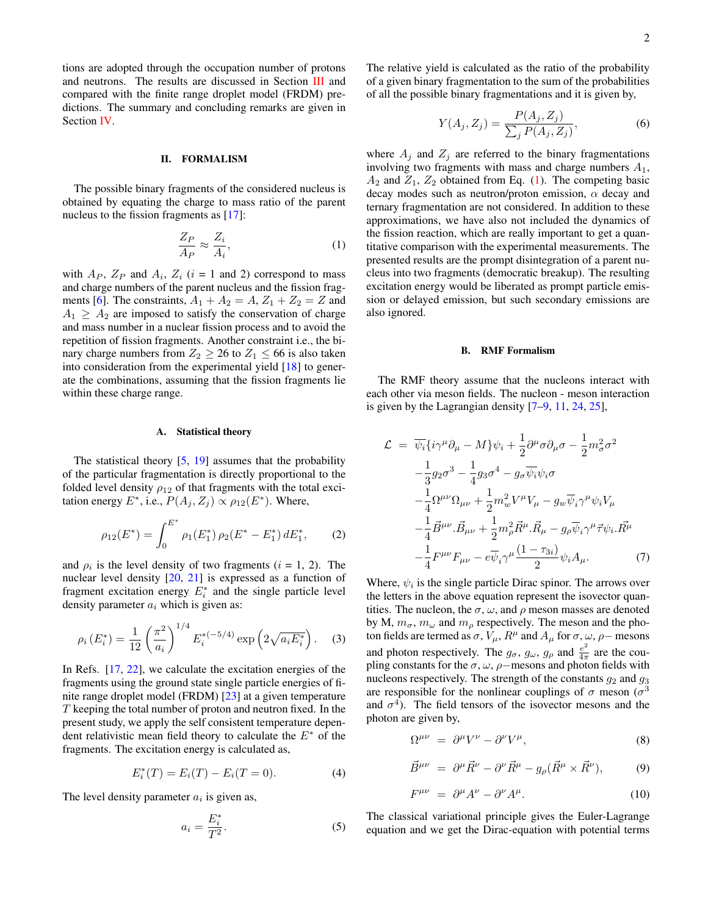tions are adopted through the occupation number of protons and neutrons. The results are discussed in Section [III](#page-3-0) and compared with the finite range droplet model (FRDM) predictions. The summary and concluding remarks are given in Section [IV.](#page-7-0)

## <span id="page-1-0"></span>II. FORMALISM

The possible binary fragments of the considered nucleus is obtained by equating the charge to mass ratio of the parent nucleus to the fission fragments as [\[17\]](#page-9-7):

<span id="page-1-1"></span>
$$
\frac{Z_P}{A_P} \approx \frac{Z_i}{A_i},\tag{1}
$$

with  $A_P$ ,  $Z_P$  and  $A_i$ ,  $Z_i$  ( $i = 1$  and 2) correspond to mass and charge numbers of the parent nucleus and the fission frag-ments [\[6\]](#page-9-0). The constraints,  $A_1 + A_2 = A$ ,  $Z_1 + Z_2 = Z$  and  $A_1 \geq A_2$  are imposed to satisfy the conservation of charge and mass number in a nuclear fission process and to avoid the repetition of fission fragments. Another constraint i.e., the binary charge numbers from  $Z_2 \geq 26$  to  $Z_1 \leq 66$  is also taken into consideration from the experimental yield [\[18\]](#page-9-8) to generate the combinations, assuming that the fission fragments lie within these charge range.

### A. Statistical theory

The statistical theory [\[5,](#page-8-4) [19\]](#page-9-9) assumes that the probability of the particular fragmentation is directly proportional to the folded level density  $\rho_{12}$  of that fragments with the total excitation energy  $E^*$ , i.e.,  $P(A_j, Z_j) \propto \rho_{12}(E^*)$ . Where,

<span id="page-1-5"></span>
$$
\rho_{12}(E^*) = \int_0^{E^*} \rho_1(E_1^*) \rho_2(E^* - E_1^*) dE_1^*, \qquad (2)
$$

and  $\rho_i$  is the level density of two fragments ( $i = 1, 2$ ). The nuclear level density [\[20,](#page-9-10) [21\]](#page-9-11) is expressed as a function of fragment excitation energy  $E_i^*$  and the single particle level density parameter  $a_i$  which is given as:

<span id="page-1-4"></span>
$$
\rho_i(E_i^*) = \frac{1}{12} \left(\frac{\pi^2}{a_i}\right)^{1/4} E_i^{*(-5/4)} \exp\left(2\sqrt{a_i E_i^*}\right). \tag{3}
$$

In Refs. [\[17,](#page-9-7) [22\]](#page-9-12), we calculate the excitation energies of the fragments using the ground state single particle energies of finite range droplet model (FRDM) [\[23\]](#page-9-13) at a given temperature T keeping the total number of proton and neutron fixed. In the present study, we apply the self consistent temperature dependent relativistic mean field theory to calculate the  $E^*$  of the fragments. The excitation energy is calculated as,

<span id="page-1-2"></span>
$$
E_i^*(T) = E_i(T) - E_i(T = 0).
$$
 (4)

The level density parameter  $a_i$  is given as,

<span id="page-1-3"></span>
$$
a_i = \frac{E_i^*}{T^2}.\tag{5}
$$

The relative yield is calculated as the ratio of the probability of a given binary fragmentation to the sum of the probabilities of all the possible binary fragmentations and it is given by,

<span id="page-1-6"></span>
$$
Y(A_j, Z_j) = \frac{P(A_j, Z_j)}{\sum_j P(A_j, Z_j)},
$$
\n(6)

where  $A_i$  and  $Z_i$  are referred to the binary fragmentations involving two fragments with mass and charge numbers  $A_1$ ,  $A_2$  and  $Z_1$ ,  $Z_2$  obtained from Eq. [\(1\)](#page-1-1). The competing basic decay modes such as neutron/proton emission,  $\alpha$  decay and ternary fragmentation are not considered. In addition to these approximations, we have also not included the dynamics of the fission reaction, which are really important to get a quantitative comparison with the experimental measurements. The presented results are the prompt disintegration of a parent nucleus into two fragments (democratic breakup). The resulting excitation energy would be liberated as prompt particle emission or delayed emission, but such secondary emissions are also ignored.

#### B. RMF Formalism

The RMF theory assume that the nucleons interact with each other via meson fields. The nucleon - meson interaction is given by the Lagrangian density [\[7–](#page-9-1)[9,](#page-9-14) [11,](#page-9-2) [24,](#page-9-15) [25\]](#page-9-16),

$$
\mathcal{L} = \overline{\psi_i} \{ i\gamma^\mu \partial_\mu - M \} \psi_i + \frac{1}{2} \partial^\mu \sigma \partial_\mu \sigma - \frac{1}{2} m_\sigma^2 \sigma^2 \n- \frac{1}{3} g_2 \sigma^3 - \frac{1}{4} g_3 \sigma^4 - g_\sigma \overline{\psi_i} \psi_i \sigma \n- \frac{1}{4} \Omega^{\mu\nu} \Omega_{\mu\nu} + \frac{1}{2} m_w^2 V^\mu V_\mu - g_w \overline{\psi_i} \gamma^\mu \psi_i V_\mu \n- \frac{1}{4} \overrightarrow{B}^{\mu\nu} . \overrightarrow{B}_{\mu\nu} + \frac{1}{2} m_\rho^2 \overrightarrow{R}^\mu . \overrightarrow{R}_\mu - g_\rho \overrightarrow{\psi_i} \gamma^\mu \overrightarrow{\tau} \psi_i . \overrightarrow{R}^\mu \n- \frac{1}{4} F^{\mu\nu} F_{\mu\nu} - e \overline{\psi_i} \gamma^\mu \frac{(1 - \tau_{3i})}{2} \psi_i A_\mu.
$$
\n(7)

Where,  $\psi_i$  is the single particle Dirac spinor. The arrows over the letters in the above equation represent the isovector quantities. The nucleon, the  $\sigma$ ,  $\omega$ , and  $\rho$  meson masses are denoted by M,  $m_{\sigma}$ ,  $m_{\omega}$  and  $m_{\rho}$  respectively. The meson and the photon fields are termed as  $\sigma$ ,  $V_{\mu}$ ,  $R^{\mu}$  and  $A_{\mu}$  for  $\sigma$ ,  $\omega$ ,  $\rho$  – mesons and photon respectively. The  $g_{\sigma}$ ,  $g_{\omega}$ ,  $g_{\rho}$  and  $\frac{e^2}{4\pi}$  $rac{e^2}{4\pi}$  are the coupling constants for the  $\sigma$ ,  $\omega$ ,  $\rho$  – mesons and photon fields with nucleons respectively. The strength of the constants  $g_2$  and  $g_3$ are responsible for the nonlinear couplings of  $\sigma$  meson ( $\sigma$ <sup>3</sup>) and  $\sigma^4$ ). The field tensors of the isovector mesons and the photon are given by,

$$
\Omega^{\mu\nu} = \partial^{\mu}V^{\nu} - \partial^{\nu}V^{\mu}, \tag{8}
$$

$$
\vec{B}^{\mu\nu} = \partial^{\mu}\vec{R}^{\nu} - \partial^{\nu}\vec{R}^{\mu} - g_{\rho}(\vec{R}^{\mu} \times \vec{R}^{\nu}), \tag{9}
$$

$$
F^{\mu\nu} = \partial^{\mu}A^{\nu} - \partial^{\nu}A^{\mu}.
$$
 (10)

The classical variational principle gives the Euler-Lagrange equation and we get the Dirac-equation with potential terms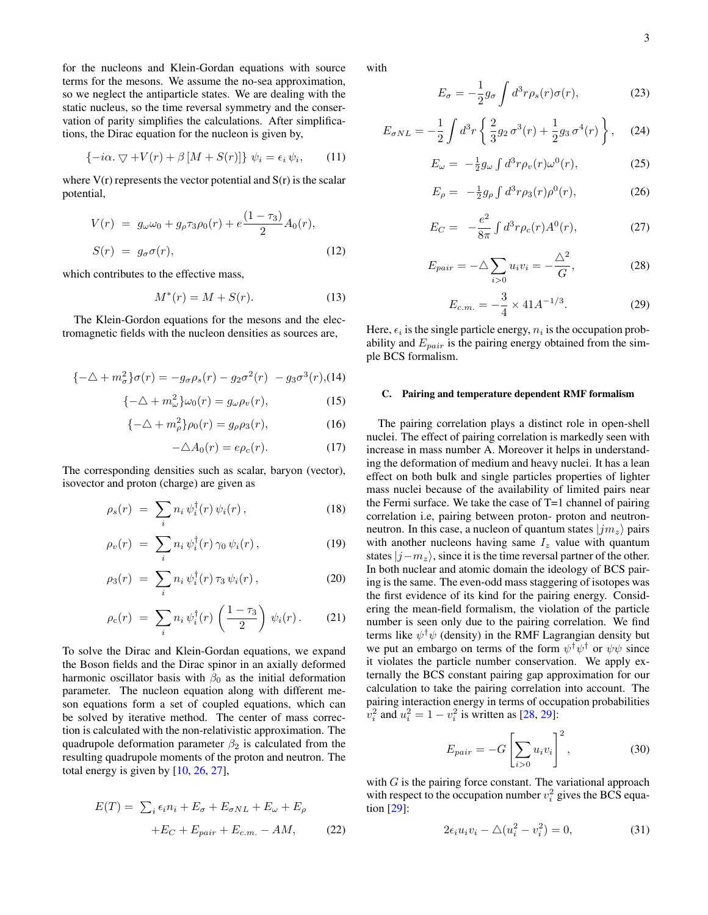for the nucleons and Klein-Gordan equations with source terms for the mesons. We assume the no-sea approximation, so we neglect the antiparticle states. We are dealing with the static nucleus, so the time reversal symmetry and the conservation of parity simplifies the calculations. After simplifications, the Dirac equation for the nucleon is given by,

<span id="page-2-0"></span>
$$
\{-i\alpha.\bigtriangledown +V(r)+\beta \left[M+S(r)\right]\}\psi_i=\epsilon_i\,\psi_i,\qquad(11)
$$

where  $V(r)$  represents the vector potential and  $S(r)$  is the scalar potential,

$$
V(r) = g_{\omega}\omega_0 + g_{\rho}\tau_3\rho_0(r) + e^{\frac{(1-\tau_3)}{2}}A_0(r),
$$
  
\n
$$
S(r) = g_{\sigma}\sigma(r),
$$
\n(12)

which contributes to the effective mass,

$$
M^*(r) = M + S(r). \t(13)
$$

The Klein-Gordon equations for the mesons and the electromagnetic fields with the nucleon densities as sources are,

<span id="page-2-1"></span>
$$
\{-\Delta + m_{\sigma}^2\}\sigma(r) = -g_{\sigma}\rho_s(r) - g_2\sigma^2(r) - g_3\sigma^3(r)
$$

$$
\{-\Delta + m_{\omega}^2\}\omega_0(r) = g_{\omega}\rho_v(r),\tag{15}
$$

$$
\{-\Delta + m_{\rho}^2\}\rho_0(r) = g_{\rho}\rho_3(r),\tag{16}
$$

$$
-\Delta A_0(r) = e\rho_c(r). \tag{17}
$$

The corresponding densities such as scalar, baryon (vector), isovector and proton (charge) are given as

$$
\rho_s(r) = \sum_i n_i \psi_i^{\dagger}(r) \psi_i(r), \qquad (18)
$$

$$
\rho_v(r) = \sum_i n_i \psi_i^{\dagger}(r) \gamma_0 \psi_i(r), \qquad (19)
$$

$$
\rho_3(r) \ = \ \sum_i n_i \, \psi_i^{\dagger}(r) \, \tau_3 \, \psi_i(r) \,, \tag{20}
$$

$$
\rho_{\rm c}(r) = \sum_{i} n_i \psi_i^{\dagger}(r) \left( \frac{1 - \tau_3}{2} \right) \psi_i(r). \tag{21}
$$

To solve the Dirac and Klein-Gordan equations, we expand the Boson fields and the Dirac spinor in an axially deformed harmonic oscillator basis with  $\beta_0$  as the initial deformation parameter. The nucleon equation along with different meson equations form a set of coupled equations, which can be solved by iterative method. The center of mass correction is calculated with the non-relativistic approximation. The quadrupole deformation parameter  $\beta_2$  is calculated from the resulting quadrupole moments of the proton and neutron. The total energy is given by [\[10,](#page-9-17) [26,](#page-9-18) [27\]](#page-9-19),

$$
E(T) = \sum_{i} \epsilon_i n_i + E_{\sigma} + E_{\sigma NL} + E_{\omega} + E_{\rho}
$$

$$
+ E_C + E_{pair} + E_{c.m.} - AM,
$$
 (22)

with

$$
E_{\sigma} = -\frac{1}{2}g_{\sigma} \int d^3r \rho_s(r)\sigma(r), \qquad (23)
$$

$$
E_{\sigma NL} = -\frac{1}{2} \int d^3r \left\{ \frac{2}{3} g_2 \,\sigma^3(r) + \frac{1}{2} g_3 \,\sigma^4(r) \right\},\tag{24}
$$

$$
E_{\omega} = -\frac{1}{2}g_{\omega} \int d^3r \rho_v(r)\omega^0(r), \qquad (25)
$$

$$
E_{\rho} = -\frac{1}{2}g_{\rho} \int d^3r \rho_3(r) \rho^0(r), \qquad (26)
$$

$$
E_C = -\frac{e^2}{8\pi} \int d^3r \rho_c(r) A^0(r), \qquad (27)
$$

$$
E_{pair} = -\Delta \sum_{i>0} u_i v_i = -\frac{\Delta^2}{G},\tag{28}
$$

$$
E_{c.m.} = -\frac{3}{4} \times 41A^{-1/3}.
$$
 (29)

Here,  $\epsilon_i$  is the single particle energy,  $n_i$  is the occupation probability and  $E_{pair}$  is the pairing energy obtained from the simple BCS formalism.

### C. Pairing and temperature dependent RMF formalism

The pairing correlation plays a distinct role in open-shell nuclei. The effect of pairing correlation is markedly seen with increase in mass number A. Moreover it helps in understanding the deformation of medium and heavy nuclei. It has a lean effect on both bulk and single particles properties of lighter mass nuclei because of the availability of limited pairs near the Fermi surface. We take the case of T=1 channel of pairing correlation i.e, pairing between proton- proton and neutronneutron. In this case, a nucleon of quantum states  $|jm_z\rangle$  pairs with another nucleons having same  $I_z$  value with quantum states  $|j-m_z\rangle$ , since it is the time reversal partner of the other. In both nuclear and atomic domain the ideology of BCS pairing is the same. The even-odd mass staggering of isotopes was the first evidence of its kind for the pairing energy. Considering the mean-field formalism, the violation of the particle number is seen only due to the pairing correlation. We find terms like  $\psi^{\dagger}\psi$  (density) in the RMF Lagrangian density but we put an embargo on terms of the form  $\psi^{\dagger} \psi^{\dagger}$  or  $\psi \psi$  since it violates the particle number conservation. We apply externally the BCS constant pairing gap approximation for our calculation to take the pairing correlation into account. The pairing interaction energy in terms of occupation probabilities  $v_i^2$  and  $u_i^2 = 1 - v_i^2$  is written as [\[28,](#page-9-20) [29\]](#page-9-21):

$$
E_{pair} = -G \left[ \sum_{i>0} u_i v_i \right]^2, \tag{30}
$$

with  $G$  is the pairing force constant. The variational approach with respect to the occupation number  $v_i^2$  gives the BCS equation [\[29\]](#page-9-21):

$$
2\epsilon_i u_i v_i - \triangle (u_i^2 - v_i^2) = 0,
$$
\n(31)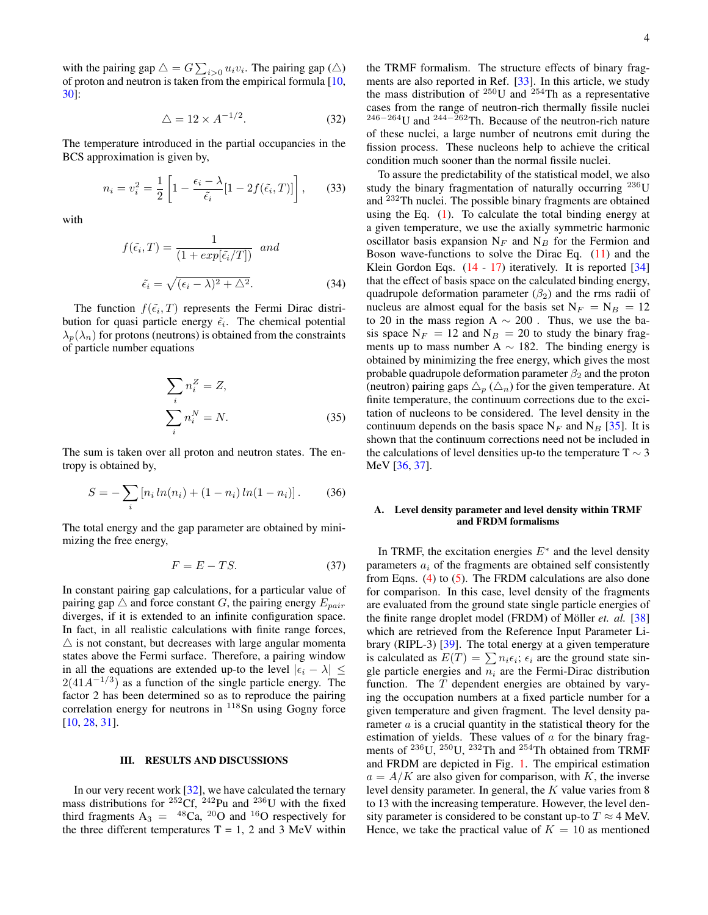with the pairing gap  $\triangle = G \sum_{i>0} u_i v_i$ . The pairing gap  $(\triangle)$ of proton and neutron is taken from the empirical formula [\[10,](#page-9-17) [30\]](#page-9-22):

$$
\triangle = 12 \times A^{-1/2}.\tag{32}
$$

The temperature introduced in the partial occupancies in the BCS approximation is given by,

$$
n_i = v_i^2 = \frac{1}{2} \left[ 1 - \frac{\epsilon_i - \lambda}{\tilde{\epsilon}_i} [1 - 2f(\tilde{\epsilon}_i, T)] \right], \qquad (33)
$$

with

$$
f(\tilde{\epsilon}_i, T) = \frac{1}{(1 + exp[\tilde{\epsilon}_i/T])} \quad and
$$

$$
\tilde{\epsilon}_i = \sqrt{(\epsilon_i - \lambda)^2 + \Delta^2}.
$$
 (34)

The function  $f(\tilde{\epsilon}_i, T)$  represents the Fermi Dirac distribution for quasi particle energy  $\tilde{\epsilon}_i$ . The chemical potential  $\lambda_p(\lambda_n)$  for protons (neutrons) is obtained from the constraints of particle number equations

$$
\sum_{i} n_i^Z = Z,
$$
  

$$
\sum_{i} n_i^N = N.
$$
 (35)

The sum is taken over all proton and neutron states. The entropy is obtained by,

$$
S = -\sum_{i} \left[ n_i \ln(n_i) + (1 - n_i) \ln(1 - n_i) \right]. \tag{36}
$$

The total energy and the gap parameter are obtained by minimizing the free energy,

$$
F = E - TS.\t(37)
$$

In constant pairing gap calculations, for a particular value of pairing gap  $\triangle$  and force constant G, the pairing energy  $E_{pair}$ diverges, if it is extended to an infinite configuration space. In fact, in all realistic calculations with finite range forces,  $\triangle$  is not constant, but decreases with large angular momenta states above the Fermi surface. Therefore, a pairing window in all the equations are extended up-to the level  $|\epsilon_i - \lambda| \leq$  $2(41A^{-1/3})$  as a function of the single particle energy. The factor 2 has been determined so as to reproduce the pairing correlation energy for neutrons in <sup>118</sup>Sn using Gogny force [\[10,](#page-9-17) [28,](#page-9-20) [31\]](#page-9-23).

### <span id="page-3-0"></span>III. RESULTS AND DISCUSSIONS

In our very recent work [\[32\]](#page-9-24), we have calculated the ternary mass distributions for <sup>252</sup>Cf, <sup>242</sup>Pu and <sup>236</sup>U with the fixed third fragments  $A_3 = {}^{48}Ca, {}^{20}O$  and  ${}^{16}O$  respectively for the three different temperatures  $T = 1$ , 2 and 3 MeV within the TRMF formalism. The structure effects of binary fragments are also reported in Ref. [\[33\]](#page-9-25). In this article, we study the mass distribution of  $^{250}$ U and  $^{254}$ Th as a representative cases from the range of neutron-rich thermally fissile nuclei  $246-264$ U and  $244-\overline{262}$ Th. Because of the neutron-rich nature of these nuclei, a large number of neutrons emit during the fission process. These nucleons help to achieve the critical condition much sooner than the normal fissile nuclei.

To assure the predictability of the statistical model, we also study the binary fragmentation of naturally occurring <sup>236</sup>U and <sup>232</sup>Th nuclei. The possible binary fragments are obtained using the Eq. [\(1\)](#page-1-1). To calculate the total binding energy at a given temperature, we use the axially symmetric harmonic oscillator basis expansion  $N_F$  and  $N_B$  for the Fermion and Boson wave-functions to solve the Dirac Eq.  $(11)$  and the Klein Gordon Eqs. [\(14](#page-2-1) - [17\)](#page-2-1) iteratively. It is reported [\[34\]](#page-9-26) that the effect of basis space on the calculated binding energy, quadrupole deformation parameter  $(\beta_2)$  and the rms radii of nucleus are almost equal for the basis set  $N_F = N_B = 12$ to 20 in the mass region A ∼ 200 . Thus, we use the basis space  $N_F = 12$  and  $N_B = 20$  to study the binary fragments up to mass number A  $\sim$  182. The binding energy is obtained by minimizing the free energy, which gives the most probable quadrupole deformation parameter  $\beta_2$  and the proton (neutron) pairing gaps  $\Delta_p$  ( $\Delta_n$ ) for the given temperature. At finite temperature, the continuum corrections due to the excitation of nucleons to be considered. The level density in the continuum depends on the basis space  $N_F$  and  $N_B$  [\[35\]](#page-9-27). It is shown that the continuum corrections need not be included in the calculations of level densities up-to the temperature  $T \sim 3$ MeV [\[36,](#page-9-28) [37\]](#page-9-29).

### <span id="page-3-1"></span>A. Level density parameter and level density within TRMF and FRDM formalisms

In TRMF, the excitation energies  $E^*$  and the level density parameters  $a_i$  of the fragments are obtained self consistently from Eqns.  $(4)$  to  $(5)$ . The FRDM calculations are also done for comparison. In this case, level density of the fragments are evaluated from the ground state single particle energies of the finite range droplet model (FRDM) of Möller *et. al.* [\[38\]](#page-9-30) which are retrieved from the Reference Input Parameter Library (RIPL-3) [\[39\]](#page-9-31). The total energy at a given temperature is calculated as  $E(T) = \sum n_i \epsilon_i$ ;  $\epsilon_i$  are the ground state single particle energies and  $n_i$  are the Fermi-Dirac distribution function. The  $T$  dependent energies are obtained by varying the occupation numbers at a fixed particle number for a given temperature and given fragment. The level density parameter a is a crucial quantity in the statistical theory for the estimation of yields. These values of  $a$  for the binary fragments of <sup>236</sup>U, <sup>250</sup>U, <sup>232</sup>Th and <sup>254</sup>Th obtained from TRMF and FRDM are depicted in Fig. [1.](#page-4-0) The empirical estimation  $a = A/K$  are also given for comparison, with K, the inverse level density parameter. In general, the K value varies from 8 to 13 with the increasing temperature. However, the level density parameter is considered to be constant up-to  $T \approx 4$  MeV. Hence, we take the practical value of  $K = 10$  as mentioned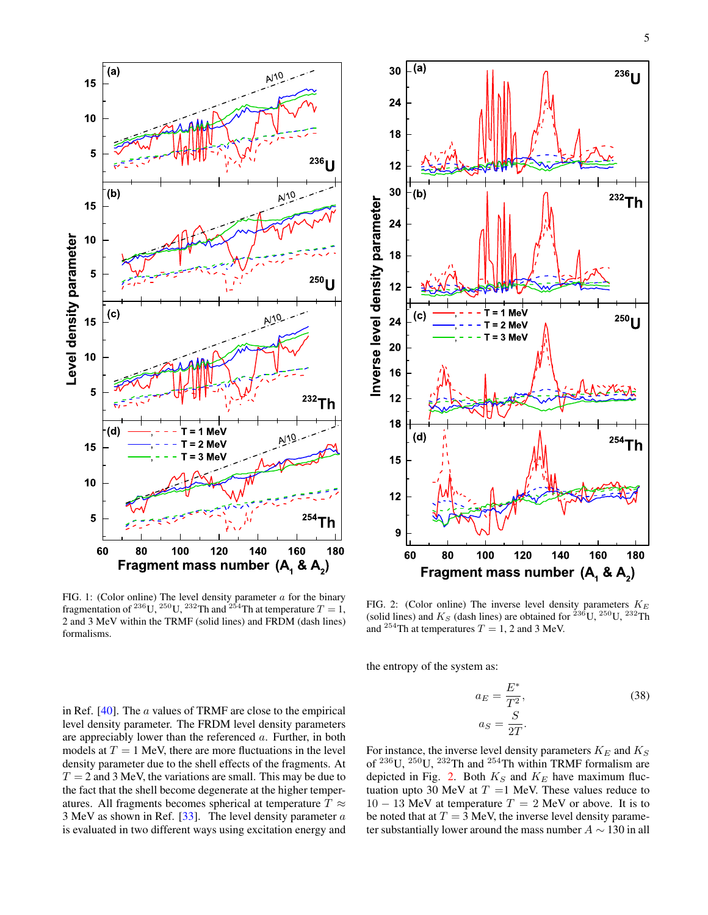

<span id="page-4-0"></span>FIG. 1: (Color online) The level density parameter  $a$  for the binary fragmentation of <sup>236</sup>U, <sup>250</sup>U, <sup>232</sup>Th and <sup>254</sup>Th at temperature  $T = 1$ , 2 and 3 MeV within the TRMF (solid lines) and FRDM (dash lines) formalisms.



<span id="page-4-1"></span>FIG. 2: (Color online) The inverse level density parameters  $K_E$ (solid lines) and  $K_S$  (dash lines) are obtained for  $^{236}$ U,  $^{250}$ U,  $^{232}$ Th and <sup>254</sup>Th at temperatures  $T = 1$ , 2 and 3 MeV.

the entropy of the system as:

$$
a_E = \frac{E^*}{T^2},
$$
  
\n
$$
a_S = \frac{S}{2T}.
$$
\n(38)

For instance, the inverse level density parameters  $K_E$  and  $K_S$ of <sup>236</sup>U, <sup>250</sup>U, <sup>232</sup>Th and <sup>254</sup>Th within TRMF formalism are depicted in Fig. [2.](#page-4-1) Both  $K_S$  and  $K_E$  have maximum fluctuation upto 30 MeV at  $T =1$  MeV. These values reduce to  $10 - 13$  MeV at temperature  $T = 2$  MeV or above. It is to be noted that at  $T = 3$  MeV, the inverse level density parameter substantially lower around the mass number  $A \sim 130$  in all

in Ref. [\[40\]](#page-9-32). The a values of TRMF are close to the empirical level density parameter. The FRDM level density parameters are appreciably lower than the referenced a. Further, in both models at  $T = 1$  MeV, there are more fluctuations in the level density parameter due to the shell effects of the fragments. At  $T = 2$  and 3 MeV, the variations are small. This may be due to the fact that the shell become degenerate at the higher temperatures. All fragments becomes spherical at temperature  $T \approx$ 3 MeV as shown in Ref. [\[33\]](#page-9-25). The level density parameter  $a$ is evaluated in two different ways using excitation energy and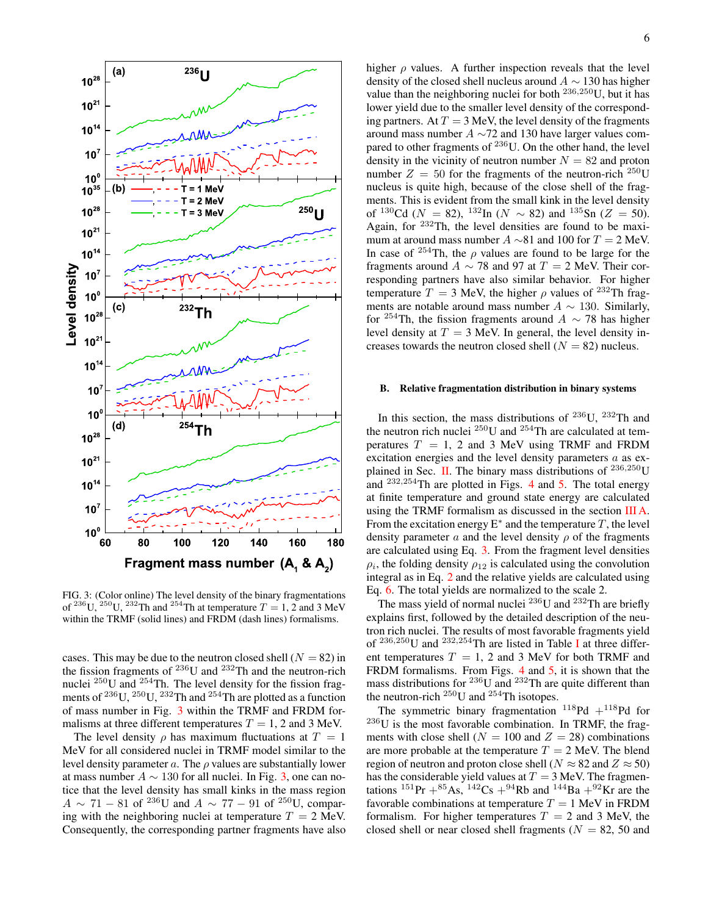

<span id="page-5-0"></span>FIG. 3: (Color online) The level density of the binary fragmentations of <sup>236</sup>U, <sup>250</sup>U, <sup>232</sup>Th and <sup>254</sup>Th at temperature  $T = 1$ , 2 and 3 MeV within the TRMF (solid lines) and FRDM (dash lines) formalisms.

cases. This may be due to the neutron closed shell ( $N = 82$ ) in the fission fragments of <sup>236</sup>U and <sup>232</sup>Th and the neutron-rich nuclei  $^{250}$ U and  $^{254}$ Th. The level density for the fission fragments of  $^{236}$ U,  $^{250}$ U,  $^{232}$ Th and  $^{254}$ Th are plotted as a function of mass number in Fig. [3](#page-5-0) within the TRMF and FRDM formalisms at three different temperatures  $T = 1$ , 2 and 3 MeV.

The level density  $\rho$  has maximum fluctuations at  $T = 1$ MeV for all considered nuclei in TRMF model similar to the level density parameter  $a$ . The  $\rho$  values are substantially lower at mass number  $A \sim 130$  for all nuclei. In Fig. [3,](#page-5-0) one can notice that the level density has small kinks in the mass region  $A \sim 71 - 81$  of <sup>236</sup>U and  $A \sim 77 - 91$  of <sup>250</sup>U, comparing with the neighboring nuclei at temperature  $T = 2$  MeV. Consequently, the corresponding partner fragments have also

higher  $\rho$  values. A further inspection reveals that the level density of the closed shell nucleus around  $A \sim 130$  has higher value than the neighboring nuclei for both  $^{236,250}$ U, but it has lower yield due to the smaller level density of the corresponding partners. At  $T = 3$  MeV, the level density of the fragments around mass number A ∼72 and 130 have larger values compared to other fragments of  $^{236}$ U. On the other hand, the level density in the vicinity of neutron number  $N = 82$  and proton number  $Z = 50$  for the fragments of the neutron-rich <sup>250</sup>U nucleus is quite high, because of the close shell of the fragments. This is evident from the small kink in the level density of  $^{130}$ Cd ( $N = 82$ ),  $^{132}$ In ( $N \sim 82$ ) and  $^{135}$ Sn ( $Z = 50$ ). Again, for  $232$ Th, the level densities are found to be maximum at around mass number  $A \sim 81$  and 100 for  $T = 2$  MeV. In case of  $254$ Th, the  $\rho$  values are found to be large for the fragments around  $A \sim 78$  and 97 at  $T = 2$  MeV. Their corresponding partners have also similar behavior. For higher temperature  $T = 3$  MeV, the higher  $\rho$  values of <sup>232</sup>Th fragments are notable around mass number  $A \sim 130$ . Similarly, for <sup>254</sup>Th, the fission fragments around  $A \sim 78$  has higher level density at  $T = 3$  MeV. In general, the level density increases towards the neutron closed shell ( $N = 82$ ) nucleus.

## B. Relative fragmentation distribution in binary systems

In this section, the mass distributions of  $^{236}$ U,  $^{232}$ Th and the neutron rich nuclei  $^{250}$ U and  $^{254}$ Th are calculated at temperatures  $T = 1$ , 2 and 3 MeV using TRMF and FRDM excitation energies and the level density parameters a as ex-plained in Sec. [II.](#page-1-0) The binary mass distributions of  $^{236,250}$ U and <sup>232,25[4](#page-6-0)</sup>Th are plotted in Figs. 4 and [5.](#page-6-1) The total energy at finite temperature and ground state energy are calculated using the TRMF formalism as discussed in the section [III A.](#page-3-1) From the excitation energy  $E^*$  and the temperature  $T$ , the level density parameter a and the level density  $\rho$  of the fragments are calculated using Eq. [3.](#page-1-4) From the fragment level densities  $\rho_i$ , the folding density  $\rho_{12}$  is calculated using the convolution integral as in Eq. [2](#page-1-5) and the relative yields are calculated using Eq. [6.](#page-1-6) The total yields are normalized to the scale 2.

The mass yield of normal nuclei <sup>236</sup>U and <sup>232</sup>Th are briefly explains first, followed by the detailed description of the neutron rich nuclei. The results of most favorable fragments yield of  $^{236,250}$ U and  $^{232,254}$ Th are listed in Table [I](#page-8-5) at three different temperatures  $T = 1$ , 2 and 3 MeV for both TRMF and FRDM formalisms. From Figs. [4](#page-6-0) and [5,](#page-6-1) it is shown that the mass distributions for  $^{236}$ U and  $^{232}$ Th are quite different than the neutron-rich  $^{250}$ U and  $^{254}$ Th isotopes.

The symmetric binary fragmentation  $^{118}Pd + ^{118}Pd$  for  $^{236}$ U is the most favorable combination. In TRMF, the fragments with close shell ( $N = 100$  and  $Z = 28$ ) combinations are more probable at the temperature  $T = 2$  MeV. The blend region of neutron and proton close shell ( $N \approx 82$  and  $Z \approx 50$ ) has the considerable yield values at  $T = 3$  MeV. The fragmentations  $^{151}Pr + ^{85}As$ ,  $^{142}Cs + ^{94}Rb$  and  $^{144}Ba + ^{92}Kr$  are the favorable combinations at temperature  $T = 1$  MeV in FRDM formalism. For higher temperatures  $T = 2$  and 3 MeV, the closed shell or near closed shell fragments ( $N = 82, 50$  and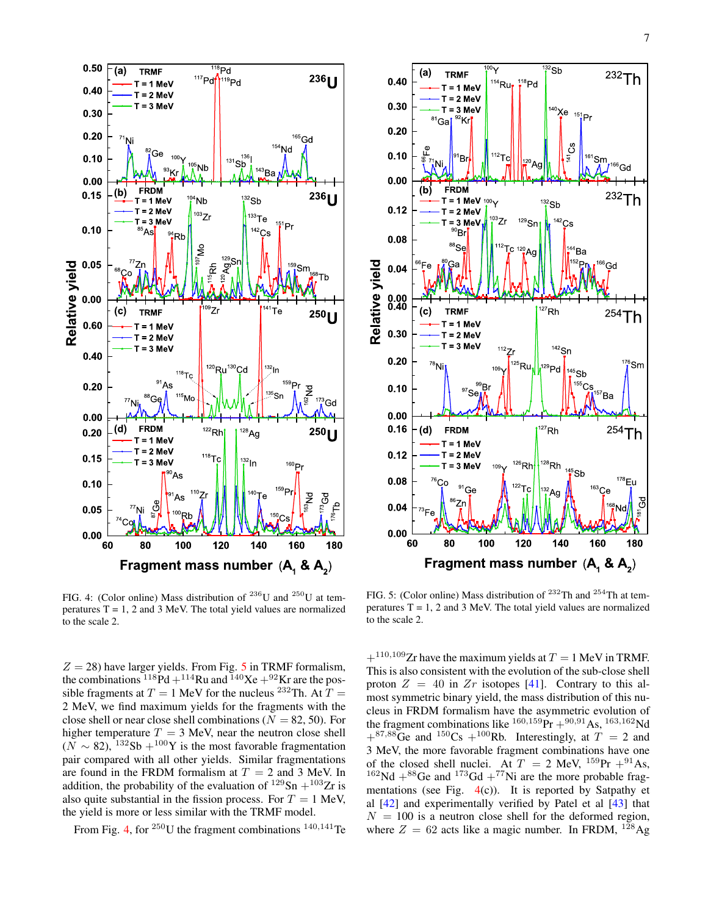



<span id="page-6-0"></span>FIG. 4: (Color online) Mass distribution of  $^{236}$ U and  $^{250}$ U at temperatures  $T = 1$ , 2 and 3 MeV. The total yield values are normalized to the scale 2.

 $Z = 28$ ) have larger yields. From Fig. [5](#page-6-1) in TRMF formalism, the combinations  $^{118}Pd + ^{114}Ru$  and  $^{140}Xe + ^{92}Kr$  are the possible fragments at  $T = 1$  MeV for the nucleus <sup>232</sup>Th. At  $T =$ 2 MeV, we find maximum yields for the fragments with the close shell or near close shell combinations ( $N = 82, 50$ ). For higher temperature  $T = 3$  MeV, near the neutron close shell  $(N \sim 82)$ , <sup>132</sup>Sb +<sup>100</sup>Y is the most favorable fragmentation pair compared with all other yields. Similar fragmentations are found in the FRDM formalism at  $T = 2$  and 3 MeV. In addition, the probability of the evaluation of  $^{129}Sn + ^{103}Zr$  is also quite substantial in the fission process. For  $T = 1$  MeV, the yield is more or less similar with the TRMF model.

From Fig. [4,](#page-6-0) for  ${}^{250}U$  the fragment combinations  ${}^{140,141}Te$ 

<span id="page-6-1"></span>FIG. 5: (Color online) Mass distribution of  $^{232}$ Th and  $^{254}$ Th at temperatures  $T = 1$ , 2 and 3 MeV. The total yield values are normalized to the scale 2.

 $+$ <sup>110,109</sup>Zr have the maximum yields at  $T = 1$  MeV in TRMF. This is also consistent with the evolution of the sub-close shell proton  $Z = 40$  in  $Zr$  isotopes [\[41\]](#page-9-33). Contrary to this almost symmetric binary yield, the mass distribution of this nucleus in FRDM formalism have the asymmetric evolution of the fragment combinations like  ${}^{160,159}Pr + {}^{90,91}As, {}^{163,162}Nd$  $+{}^{87,88}$ Ge and  ${}^{150}$ Cs  $+{}^{100}$ Rb. Interestingly, at  $T = 2$  and 3 MeV, the more favorable fragment combinations have one of the closed shell nuclei. At  $T = 2$  MeV,  $^{159}Pr + ^{91}As$ , <sup>162</sup>Nd  $+{}^{88}$ Ge and <sup>173</sup>Gd  $+{}^{77}$ Ni are the more probable fragmentations (see Fig.  $4(c)$  $4(c)$ ). It is reported by Satpathy et al [\[42\]](#page-9-34) and experimentally verified by Patel et al [\[43\]](#page-9-35) that  $N = 100$  is a neutron close shell for the deformed region, where  $Z = 62$  acts like a magic number. In FRDM, <sup>128</sup>Ag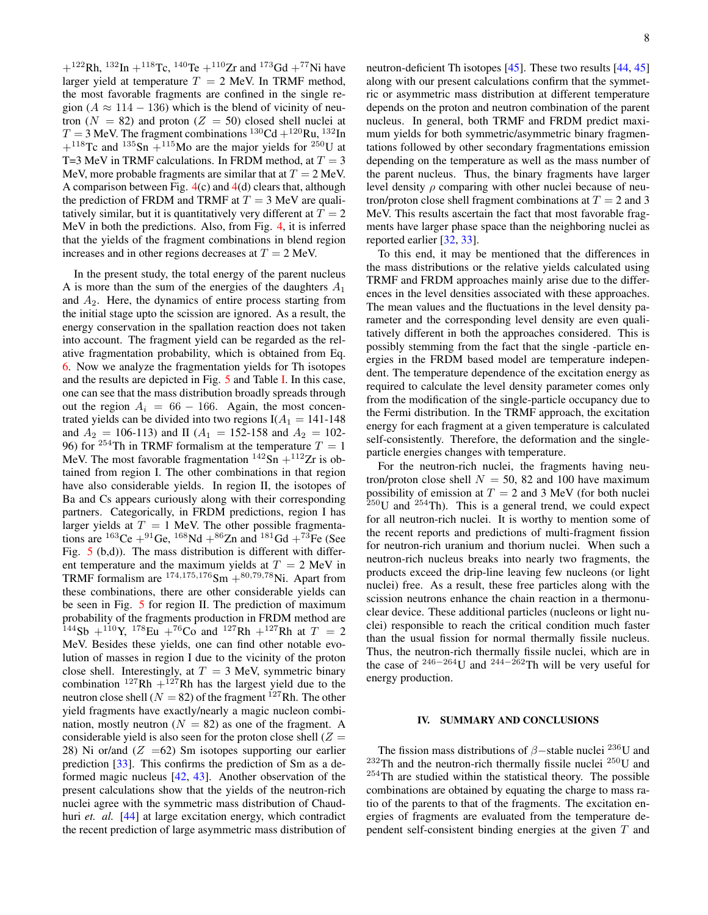$+$ <sup>122</sup>Rh, <sup>132</sup>In  $+$ <sup>118</sup>Tc, <sup>140</sup>Te  $+$ <sup>110</sup>Zr and <sup>173</sup>Gd  $+$ <sup>77</sup>Ni have larger yield at temperature  $T = 2$  MeV. In TRMF method, the most favorable fragments are confined in the single region ( $A \approx 114 - 136$ ) which is the blend of vicinity of neutron ( $N = 82$ ) and proton ( $Z = 50$ ) closed shell nuclei at  $T = 3$  MeV. The fragment combinations  ${}^{130}$ Cd  $+{}^{120}$ Ru,  ${}^{132}$ In  $+$ <sup>118</sup>Tc and <sup>135</sup>Sn  $+$ <sup>115</sup>Mo are the major yields for <sup>250</sup>U at T=3 MeV in TRMF calculations. In FRDM method, at  $T = 3$ MeV, more probable fragments are similar that at  $T = 2$  MeV. A comparison between Fig.  $4(c)$  $4(c)$  and  $4(d)$  clears that, although the prediction of FRDM and TRMF at  $T = 3$  MeV are qualitatively similar, but it is quantitatively very different at  $T = 2$ MeV in both the predictions. Also, from Fig. [4,](#page-6-0) it is inferred that the yields of the fragment combinations in blend region increases and in other regions decreases at  $T = 2$  MeV.

In the present study, the total energy of the parent nucleus A is more than the sum of the energies of the daughters  $A_1$ and  $A_2$ . Here, the dynamics of entire process starting from the initial stage upto the scission are ignored. As a result, the energy conservation in the spallation reaction does not taken into account. The fragment yield can be regarded as the relative fragmentation probability, which is obtained from Eq. [6.](#page-1-6) Now we analyze the fragmentation yields for Th isotopes and the results are depicted in Fig. [5](#page-6-1) and Table [I.](#page-8-5) In this case, one can see that the mass distribution broadly spreads through out the region  $A_i = 66 - 166$ . Again, the most concentrated yields can be divided into two regions  $I(A_1 = 141-148)$ and  $A_2 = 106-113$ ) and II ( $A_1 = 152-158$  and  $A_2 = 102-$ 96) for <sup>254</sup>Th in TRMF formalism at the temperature  $T = 1$ MeV. The most favorable fragmentation  $142$ Sn  $+112$ Zr is obtained from region I. The other combinations in that region have also considerable yields. In region II, the isotopes of Ba and Cs appears curiously along with their corresponding partners. Categorically, in FRDM predictions, region I has larger yields at  $T = 1$  MeV. The other possible fragmentations are  ${}^{163}Ce + {}^{91}Ge$ ,  ${}^{168}Nd + {}^{86}Zn$  and  ${}^{181}Gd + {}^{73}Fe$  (See Fig.  $5$  (b,d)). The mass distribution is different with different temperature and the maximum yields at  $T = 2$  MeV in TRMF formalism are  $^{174,175,176}$ Sm + $^{80,79,78}$ Ni. Apart from these combinations, there are other considerable yields can be seen in Fig. [5](#page-6-1) for region II. The prediction of maximum probability of the fragments production in FRDM method are  $144Sb + 110Y$ ,  $178Eu + 76Co$  and  $127Rh + 127Rh$  at  $T = 2$ MeV. Besides these yields, one can find other notable evolution of masses in region I due to the vicinity of the proton close shell. Interestingly, at  $T = 3$  MeV, symmetric binary combination  $127Rh + 127Rh$  has the largest yield due to the neutron close shell ( $N = 82$ ) of the fragment <sup>127</sup>Rh. The other yield fragments have exactly/nearly a magic nucleon combination, mostly neutron ( $N = 82$ ) as one of the fragment. A considerable yield is also seen for the proton close shell  $(Z =$ 28) Ni or/and  $(Z = 62)$  Sm isotopes supporting our earlier prediction [\[33\]](#page-9-25). This confirms the prediction of Sm as a deformed magic nucleus [\[42,](#page-9-34) [43\]](#page-9-35). Another observation of the present calculations show that the yields of the neutron-rich nuclei agree with the symmetric mass distribution of Chaudhuri *et. al.* [\[44\]](#page-9-36) at large excitation energy, which contradict the recent prediction of large asymmetric mass distribution of neutron-deficient Th isotopes [\[45\]](#page-9-37). These two results [\[44,](#page-9-36) [45\]](#page-9-37) along with our present calculations confirm that the symmetric or asymmetric mass distribution at different temperature depends on the proton and neutron combination of the parent nucleus. In general, both TRMF and FRDM predict maximum yields for both symmetric/asymmetric binary fragmentations followed by other secondary fragmentations emission depending on the temperature as well as the mass number of the parent nucleus. Thus, the binary fragments have larger level density  $\rho$  comparing with other nuclei because of neutron/proton close shell fragment combinations at  $T = 2$  and 3 MeV. This results ascertain the fact that most favorable fragments have larger phase space than the neighboring nuclei as reported earlier [\[32,](#page-9-24) [33\]](#page-9-25).

To this end, it may be mentioned that the differences in the mass distributions or the relative yields calculated using TRMF and FRDM approaches mainly arise due to the differences in the level densities associated with these approaches. The mean values and the fluctuations in the level density parameter and the corresponding level density are even qualitatively different in both the approaches considered. This is possibly stemming from the fact that the single -particle energies in the FRDM based model are temperature independent. The temperature dependence of the excitation energy as required to calculate the level density parameter comes only from the modification of the single-particle occupancy due to the Fermi distribution. In the TRMF approach, the excitation energy for each fragment at a given temperature is calculated self-consistently. Therefore, the deformation and the singleparticle energies changes with temperature.

For the neutron-rich nuclei, the fragments having neutron/proton close shell  $N = 50$ , 82 and 100 have maximum possibility of emission at  $T = 2$  and 3 MeV (for both nuclei  $250$ U and  $254$ Th). This is a general trend, we could expect for all neutron-rich nuclei. It is worthy to mention some of the recent reports and predictions of multi-fragment fission for neutron-rich uranium and thorium nuclei. When such a neutron-rich nucleus breaks into nearly two fragments, the products exceed the drip-line leaving few nucleons (or light nuclei) free. As a result, these free particles along with the scission neutrons enhance the chain reaction in a thermonuclear device. These additional particles (nucleons or light nuclei) responsible to reach the critical condition much faster than the usual fission for normal thermally fissile nucleus. Thus, the neutron-rich thermally fissile nuclei, which are in the case of  $246-264$ U and  $244-262$ Th will be very useful for energy production.

### <span id="page-7-0"></span>IV. SUMMARY AND CONCLUSIONS

The fission mass distributions of  $\beta$  –stable nuclei <sup>236</sup>U and  $232$ Th and the neutron-rich thermally fissile nuclei  $250$ U and <sup>254</sup>Th are studied within the statistical theory. The possible combinations are obtained by equating the charge to mass ratio of the parents to that of the fragments. The excitation energies of fragments are evaluated from the temperature dependent self-consistent binding energies at the given T and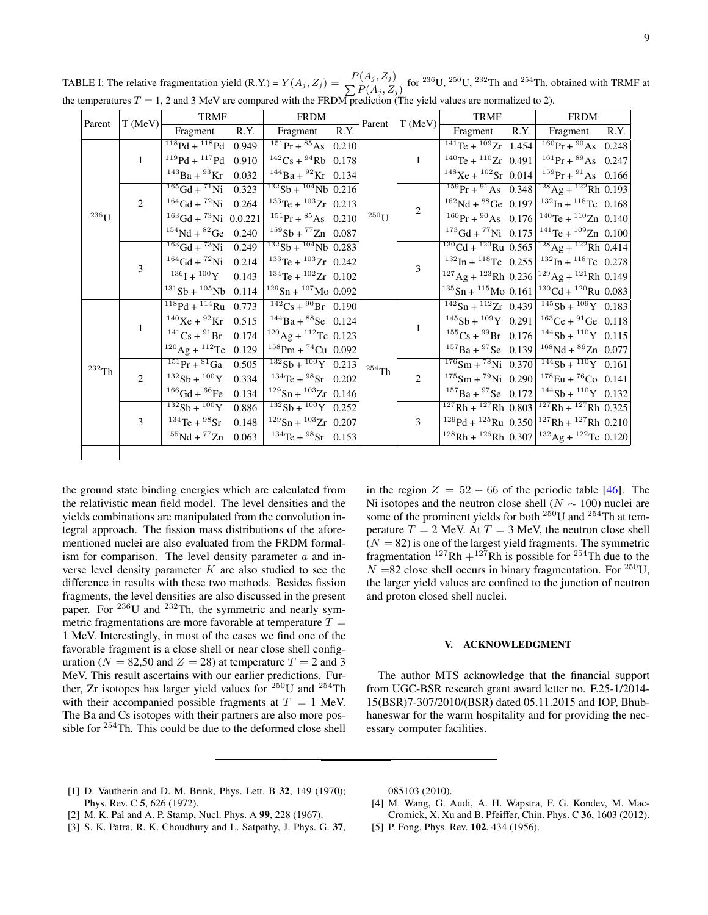| Parent             | T(MeV)       | <b>TRMF</b>                                   | <b>FRDM</b> |                                                   | Parent | T (MeV)             | <b>TRMF</b> |                           | <b>FRDM</b> |                                                                             |      |
|--------------------|--------------|-----------------------------------------------|-------------|---------------------------------------------------|--------|---------------------|-------------|---------------------------|-------------|-----------------------------------------------------------------------------|------|
|                    |              | Fragment                                      | R.Y.        | Fragment                                          | R.Y.   |                     |             | Fragment                  | R.Y.        | Fragment                                                                    | R.Y. |
| $^{236}\mathrm{U}$ | 1            | $118Pd + 118Pd$                               | 0.949       | $151Pf + 85AS$ 0.210                              |        | $^{250}\mathrm{U}$  | 1           | $141$ Te + $109$ Zr 1.454 |             | $160Pr + 90As$ 0.248                                                        |      |
|                    |              | $^{119}Pd + ^{117}Pd$                         | 0.910       | $142Cs + 94Rb$ 0.178                              |        |                     |             | $140$ Te + $110$ Zr 0.491 |             | $^{161}Pr + ^{89}As$ 0.247                                                  |      |
|                    |              | $^{143}Ba + ^{93}Kr$                          | 0.032       | $144Ba + 92Kr$ 0.134                              |        |                     |             |                           |             | $148Xe + 102Sr$ 0.014 $159Pr + 91As$ 0.166                                  |      |
|                    | 2            | $165\text{Gd} + 71\text{Ni}$                  | 0.323       | $\frac{132}{132}Sb + \frac{104}{104}Nb$ 0.216     |        |                     | 2           |                           |             | $159Pr + 91As$ 0.348 $128Ag + 122Rh$ 0.193                                  |      |
|                    |              | $^{164}$ Gd + $^{72}$ Ni                      | 0.264       | $133$ Te + $103$ Zr 0.213                         |        |                     |             |                           |             | $^{162}$ Nd + $^{88}$ Ge 0.197 $ ^{132}$ In + $^{118}$ Tc 0.168             |      |
|                    |              | $163$ Gd + $73$ Ni 0.0.221                    |             | $^{151}Pr + ^{85}As$ 0.210                        |        |                     |             |                           |             | $^{160}Pr + ^{90}As$ 0.176 $^{140}Te + ^{110}Zn$ 0.140                      |      |
|                    |              | $154$ Nd + $82$ Ge                            | 0.240       | $159Sb + 77Zn$ 0.087                              |        |                     |             |                           |             | $173\text{Gd} + 77\text{Ni}$ 0.175 $141\text{Te} + 109\text{Zn}$ 0.100      |      |
|                    | 3            | $163\text{Gd} + 73\text{Ni}$                  | 0.249       | $\frac{132}{132}$ Sb + $\frac{104}{104}$ Nb 0.283 |        |                     | 3           |                           |             | $130 \text{Cd} + 120 \text{Ru}$ 0.565 $128 \text{Ag} + 122 \text{Rh}$ 0.414 |      |
|                    |              | $164$ Gd + $72$ Ni                            | 0.214       | $133$ Te + $103$ Zr 0.242                         |        |                     |             |                           |             | $^{132}$ In + $^{118}$ Tc 0.255 $ ^{132}$ In + $^{118}$ Tc 0.278            |      |
|                    |              | $^{136}$ I + $^{100}$ Y                       | 0.143       | $134$ Te + $102$ Zr 0.102                         |        |                     |             |                           |             | $127$ Ag + $123$ Rh 0.236 $129$ Ag + $121$ Rh 0.149                         |      |
|                    |              | $^{131}Sb + {^{105}Nb}$                       | 0.114       | $^{129}\mathrm{Sn} + {^{107}\mathrm{Mo}}$ 0.092   |        |                     |             |                           |             | $135$ Sn + $115$ Mo 0.161 $130$ Cd + $120$ Ru 0.083                         |      |
| $\rm ^{232}Th$     | $\mathbf{1}$ | $\frac{118}{118}Pd + \frac{114}{114}Ru$ 0.773 |             | $142Cs + 90Br$ 0.190                              |        | $\mathrm{^{254}Th}$ |             |                           |             | $142$ Sn + $112$ Zr 0.439 $145$ Sb + $109$ Y 0.183                          |      |
|                    |              | $140Xe + 92Kr$                                | 0.515       | $144Ba + 88$ Se 0.124                             |        |                     |             |                           |             | $145Sb + 109Y$ 0.291 $163Ce + 91Ge$ 0.118                                   |      |
|                    |              | $^{141}Cs + ^{91}Br$                          | 0.174       | $^{120}$ Ag + $^{112}$ Tc 0.123                   |        |                     |             | $155Cs + 99Br$ 0.176      |             | $144$ Sb + $110$ Y 0.115                                                    |      |
|                    |              | $^{120}$ Ag + $^{112}$ Tc 0.129               |             | $158$ Pm + $74$ Cu 0.092                          |        |                     |             |                           |             | $^{157}$ Ba + $^{97}$ Se 0.139 $^{168}$ Nd + $^{86}$ Zn 0.077               |      |
|                    | 2            | $151p + 81Ga$                                 | 0.505       | $\frac{132}{132}$ Sb + $\frac{100}{Y}$ 0.213      |        |                     | 2           |                           |             | $176$ Sm + $78$ Ni 0.370 $144$ Sb + $110$ Y 0.161                           |      |
|                    |              | $132Sb + 100Y$                                | 0.334       | $134$ Te + $98$ Sr 0.202                          |        |                     |             |                           |             | $175$ Sm + $79$ Ni 0.290 $178$ Eu + $76$ Co 0.141                           |      |
|                    |              | $166$ Gd + $66$ Fe                            | 0.134       | $129$ Sn + $103$ Zr 0.146                         |        |                     |             |                           |             | $157Ba + 97Se$ 0.172 $144Sb + 110Y$ 0.132                                   |      |
|                    | 3            | $132Sb + 100Y$                                | 0.886       | $132Sb + 100Y$ 0.252                              |        |                     | 3           |                           |             | $127Rh + 127Rh$ 0.803 $127Rh + 127Rh$ 0.325                                 |      |
|                    |              | $134$ Te + $98$ Sr                            | 0.148       | $129$ Sn + $103$ Zr 0.207                         |        |                     |             |                           |             | $129Pd + 125Ru$ 0.350 $127Rh + 127Rh$ 0.210                                 |      |
|                    |              | $155$ Nd + $77$ Zn                            | 0.063       | $134$ Te + $98$ Sr 0.153                          |        |                     |             |                           |             | $128Rh + 126Rh$ 0.307 $ 132Ag + 122Tc$ 0.120                                |      |
|                    |              |                                               |             |                                                   |        |                     |             |                           |             |                                                                             |      |

<span id="page-8-5"></span>TABLE I: The relative fragmentation yield  $(R.Y.) = Y(A_j, Z_j) = \frac{P(A_j, Z_j)}{\sum P(A_j, Z_j)}$  for <sup>236</sup>U, <sup>250</sup>U, <sup>232</sup>Th and <sup>254</sup>Th, obtained with TRMF at the temperatures  $T = 1$ , 2 and 3 MeV are compared with the FRDM prediction (The yield values are normalized to 2).

the ground state binding energies which are calculated from the relativistic mean field model. The level densities and the yields combinations are manipulated from the convolution integral approach. The fission mass distributions of the aforementioned nuclei are also evaluated from the FRDM formalism for comparison. The level density parameter  $a$  and inverse level density parameter  $K$  are also studied to see the difference in results with these two methods. Besides fission fragments, the level densities are also discussed in the present paper. For <sup>236</sup>U and <sup>232</sup>Th, the symmetric and nearly symmetric fragmentations are more favorable at temperature  $T =$ 1 MeV. Interestingly, in most of the cases we find one of the favorable fragment is a close shell or near close shell configuration ( $N = 82,50$  and  $Z = 28$ ) at temperature  $T = 2$  and 3 MeV. This result ascertains with our earlier predictions. Further, Zr isotopes has larger yield values for  $250$ U and  $254$ Th with their accompanied possible fragments at  $T = 1$  MeV. The Ba and Cs isotopes with their partners are also more possible for <sup>254</sup>Th. This could be due to the deformed close shell

in the region  $Z = 52 - 66$  of the periodic table [\[46\]](#page-9-38). The Ni isotopes and the neutron close shell ( $N \sim 100$ ) nuclei are some of the prominent yields for both  $^{250}$ U and  $^{254}$ Th at temperature  $T = 2$  MeV. At  $T = 3$  MeV, the neutron close shell  $(N = 82)$  is one of the largest yield fragments. The symmetric fragmentation  $127Rh + 127Rh$  is possible for  $254Th$  due to the  $N = 82$  close shell occurs in binary fragmentation. For <sup>250</sup>U, the larger yield values are confined to the junction of neutron and proton closed shell nuclei.

## V. ACKNOWLEDGMENT

The author MTS acknowledge that the financial support from UGC-BSR research grant award letter no. F.25-1/2014- 15(BSR)7-307/2010/(BSR) dated 05.11.2015 and IOP, Bhubhaneswar for the warm hospitality and for providing the necessary computer facilities.

- <span id="page-8-0"></span>[1] D. Vautherin and D. M. Brink, Phys. Lett. B 32, 149 (1970); Phys. Rev. C 5, 626 (1972).
- <span id="page-8-1"></span>[2] M. K. Pal and A. P. Stamp, Nucl. Phys. A 99, 228 (1967).
- <span id="page-8-2"></span>[3] S. K. Patra, R. K. Choudhury and L. Satpathy, J. Phys. G. 37,

085103 (2010).

- <span id="page-8-3"></span>[4] M. Wang, G. Audi, A. H. Wapstra, F. G. Kondev, M. Mac-Cromick, X. Xu and B. Pfeiffer, Chin. Phys. C 36, 1603 (2012).
- <span id="page-8-4"></span>[5] P. Fong, Phys. Rev. **102**, 434 (1956).